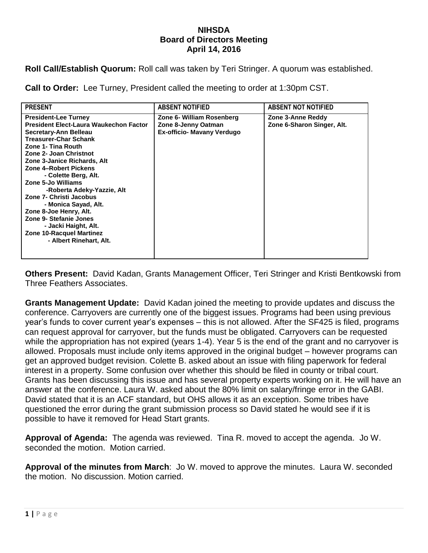## **NIHSDA Board of Directors Meeting April 14, 2016**

**Roll Call/Establish Quorum:** Roll call was taken by Teri Stringer. A quorum was established.

**Call to Order:** Lee Turney, President called the meeting to order at 1:30pm CST.

| <b>PRESENT</b>                                                                                                                                                                                                                                                                                                                                                                                                                                                                                                         | <b>ABSENT NOTIFIED</b>                                                                | <b>ABSENT NOT NOTIFIED</b>                      |
|------------------------------------------------------------------------------------------------------------------------------------------------------------------------------------------------------------------------------------------------------------------------------------------------------------------------------------------------------------------------------------------------------------------------------------------------------------------------------------------------------------------------|---------------------------------------------------------------------------------------|-------------------------------------------------|
| <b>President-Lee Turney</b><br><b>President Elect-Laura Waukechon Factor</b><br>Secretary-Ann Belleau<br><b>Treasurer-Char Schank</b><br>Zone 1- Tina Routh<br>Zone 2- Joan Christnot<br>Zone 3-Janice Richards, Alt<br>Zone 4-Robert Pickens<br>- Colette Berg, Alt.<br>Zone 5-Jo Williams<br>-Roberta Adeky-Yazzie, Alt<br>Zone 7- Christi Jacobus<br>- Monica Sayad, Alt.<br>Zone 8-Joe Henry, Alt.<br>Zone 9- Stefanie Jones<br>- Jacki Haight, Alt.<br><b>Zone 10-Racquel Martinez</b><br>- Albert Rinehart, Alt. | Zone 6- William Rosenberg<br>Zone 8-Jenny Oatman<br><b>Ex-officio- Mavany Verdugo</b> | Zone 3-Anne Reddy<br>Zone 6-Sharon Singer, Alt. |

**Others Present:** David Kadan, Grants Management Officer, Teri Stringer and Kristi Bentkowski from Three Feathers Associates.

**Grants Management Update:** David Kadan joined the meeting to provide updates and discuss the conference. Carryovers are currently one of the biggest issues. Programs had been using previous year's funds to cover current year's expenses – this is not allowed. After the SF425 is filed, programs can request approval for carryover, but the funds must be obligated. Carryovers can be requested while the appropriation has not expired (years 1-4). Year 5 is the end of the grant and no carryover is allowed. Proposals must include only items approved in the original budget – however programs can get an approved budget revision. Colette B. asked about an issue with filing paperwork for federal interest in a property. Some confusion over whether this should be filed in county or tribal court. Grants has been discussing this issue and has several property experts working on it. He will have an answer at the conference. Laura W. asked about the 80% limit on salary/fringe error in the GABI. David stated that it is an ACF standard, but OHS allows it as an exception. Some tribes have questioned the error during the grant submission process so David stated he would see if it is possible to have it removed for Head Start grants.

**Approval of Agenda:** The agenda was reviewed. Tina R. moved to accept the agenda. Jo W. seconded the motion. Motion carried.

**Approval of the minutes from March**: Jo W. moved to approve the minutes. Laura W. seconded the motion. No discussion. Motion carried.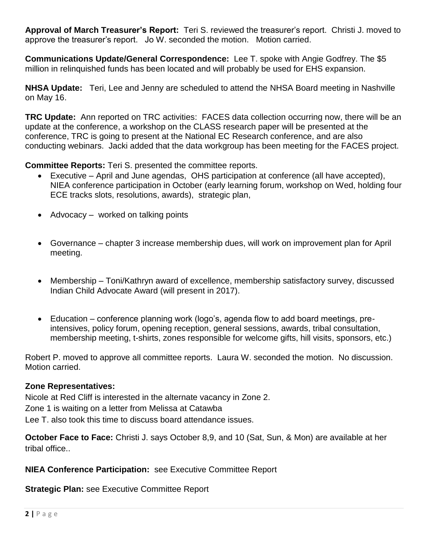**Approval of March Treasurer's Report:** Teri S. reviewed the treasurer's report. Christi J. moved to approve the treasurer's report. Jo W. seconded the motion. Motion carried.

**Communications Update/General Correspondence:** Lee T. spoke with Angie Godfrey. The \$5 million in relinquished funds has been located and will probably be used for EHS expansion.

**NHSA Update:** Teri, Lee and Jenny are scheduled to attend the NHSA Board meeting in Nashville on May 16.

**TRC Update:** Ann reported on TRC activities: FACES data collection occurring now, there will be an update at the conference, a workshop on the CLASS research paper will be presented at the conference, TRC is going to present at the National EC Research conference, and are also conducting webinars. Jacki added that the data workgroup has been meeting for the FACES project.

**Committee Reports:** Teri S. presented the committee reports.

- Executive April and June agendas, OHS participation at conference (all have accepted), NIEA conference participation in October (early learning forum, workshop on Wed, holding four ECE tracks slots, resolutions, awards), strategic plan,
- Advocacy worked on talking points
- Governance chapter 3 increase membership dues, will work on improvement plan for April meeting.
- Membership Toni/Kathryn award of excellence, membership satisfactory survey, discussed Indian Child Advocate Award (will present in 2017).
- Education conference planning work (logo's, agenda flow to add board meetings, preintensives, policy forum, opening reception, general sessions, awards, tribal consultation, membership meeting, t-shirts, zones responsible for welcome gifts, hill visits, sponsors, etc.)

Robert P. moved to approve all committee reports. Laura W. seconded the motion. No discussion. Motion carried.

## **Zone Representatives:**

Nicole at Red Cliff is interested in the alternate vacancy in Zone 2.

Zone 1 is waiting on a letter from Melissa at Catawba

Lee T. also took this time to discuss board attendance issues.

**October Face to Face:** Christi J. says October 8,9, and 10 (Sat, Sun, & Mon) are available at her tribal office..

**NIEA Conference Participation:** see Executive Committee Report

**Strategic Plan:** see Executive Committee Report